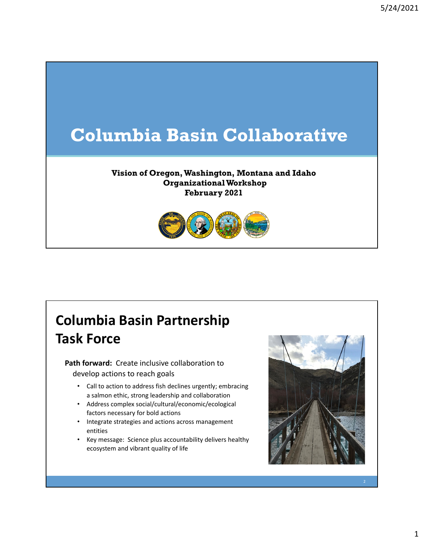# **Columbia Basin Collaborative**

#### **Vision of Oregon, Washington, Montana and Idaho Organizational Workshop February 2021**



## **Columbia Basin Partnership Task Force**

**Path forward:** Create inclusive collaboration to develop actions to reach goals

- Call to action to address fish declines urgently; embracing a salmon ethic, strong leadership and collaboration
- Address complex social/cultural/economic/ecological factors necessary for bold actions
- Integrate strategies and actions across management entities
- Key message: Science plus accountability delivers healthy ecosystem and vibrant quality of life

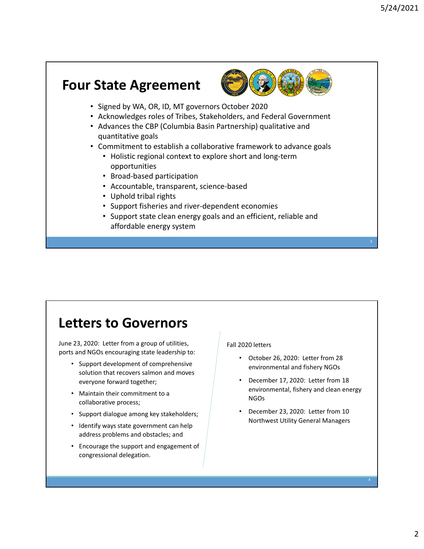### **Four State Agreement**



- Signed by WA, OR, ID, MT governors October 2020
- Acknowledges roles of Tribes, Stakeholders, and Federal Government
- Advances the CBP (Columbia Basin Partnership) qualitative and quantitative goals
- Commitment to establish a collaborative framework to advance goals
	- Holistic regional context to explore short and long‐term opportunities
	- Broad‐based participation
	- Accountable, transparent, science‐based
	- Uphold tribal rights
	- Support fisheries and river‐dependent economies
	- Support state clean energy goals and an efficient, reliable and affordable energy system

### **Letters to Governors**

June 23, 2020: Letter from a group of utilities, ports and NGOs encouraging state leadership to:

- Support development of comprehensive solution that recovers salmon and moves everyone forward together;
- Maintain their commitment to a collaborative process;
- Support dialogue among key stakeholders;
- Identify ways state government can help address problems and obstacles; and
- Encourage the support and engagement of congressional delegation.

#### Fall 2020 letters

- October 26, 2020: Letter from 28 environmental and fishery NGOs
- December 17, 2020: Letter from 18 environmental, fishery and clean energy NGOs
- December 23, 2020: Letter from 10 Northwest Utility General Managers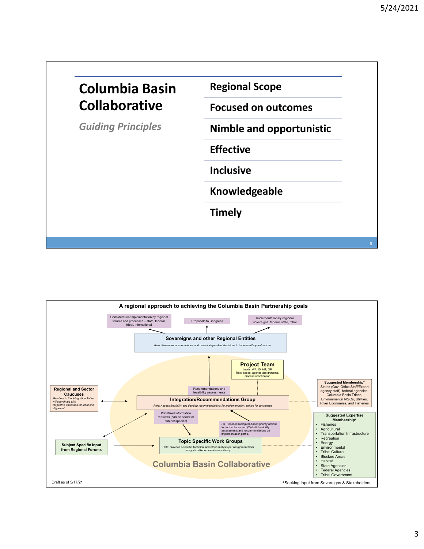